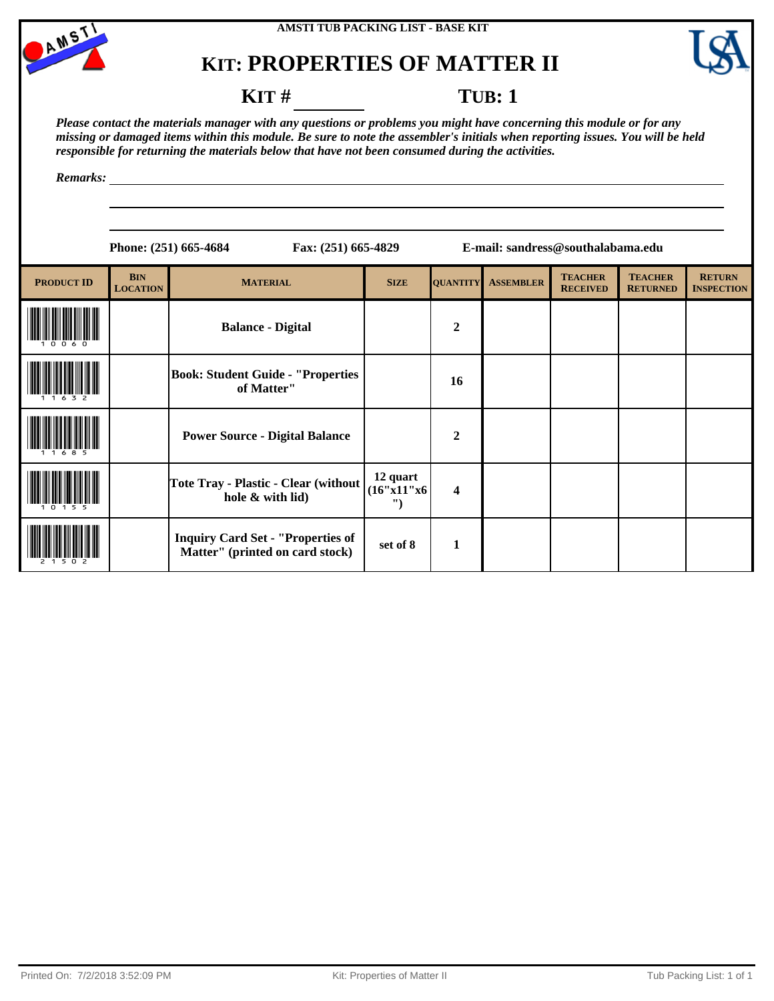



### **KIT** # **TUB**: 1

*Please contact the materials manager with any questions or problems you might have concerning this module or for any missing or damaged items within this module. Be sure to note the assembler's initials when reporting issues. You will be held responsible for returning the materials below that have not been consumed during the activities.*

*Remarks:*

**Phone: (251) 665-4684 Fax: (251) 665-4829 E-mail: sandress@southalabama.edu**

| <b>PRODUCT ID</b> | <b>BIN</b><br><b>LOCATION</b> | <b>MATERIAL</b>                                                             | <b>SIZE</b>                 | <b>QUANTITY</b>         | <b>ASSEMBLER</b> | <b>TEACHER</b><br><b>RECEIVED</b> | <b>TEACHER</b><br><b>RETURNED</b> | <b>RETURN</b><br><b>INSPECTION</b> |
|-------------------|-------------------------------|-----------------------------------------------------------------------------|-----------------------------|-------------------------|------------------|-----------------------------------|-----------------------------------|------------------------------------|
|                   |                               | <b>Balance - Digital</b>                                                    |                             | $\overline{2}$          |                  |                                   |                                   |                                    |
|                   |                               | <b>Book: Student Guide - "Properties</b><br>of Matter"                      |                             | 16                      |                  |                                   |                                   |                                    |
|                   |                               | <b>Power Source - Digital Balance</b>                                       |                             | $\overline{2}$          |                  |                                   |                                   |                                    |
|                   |                               | Tote Tray - Plastic - Clear (without<br>hole & with lid)                    | 12 quart<br>(16"x11"x6<br>" | $\overline{\mathbf{4}}$ |                  |                                   |                                   |                                    |
|                   |                               | <b>Inquiry Card Set - "Properties of</b><br>Matter" (printed on card stock) | set of 8                    | 1                       |                  |                                   |                                   |                                    |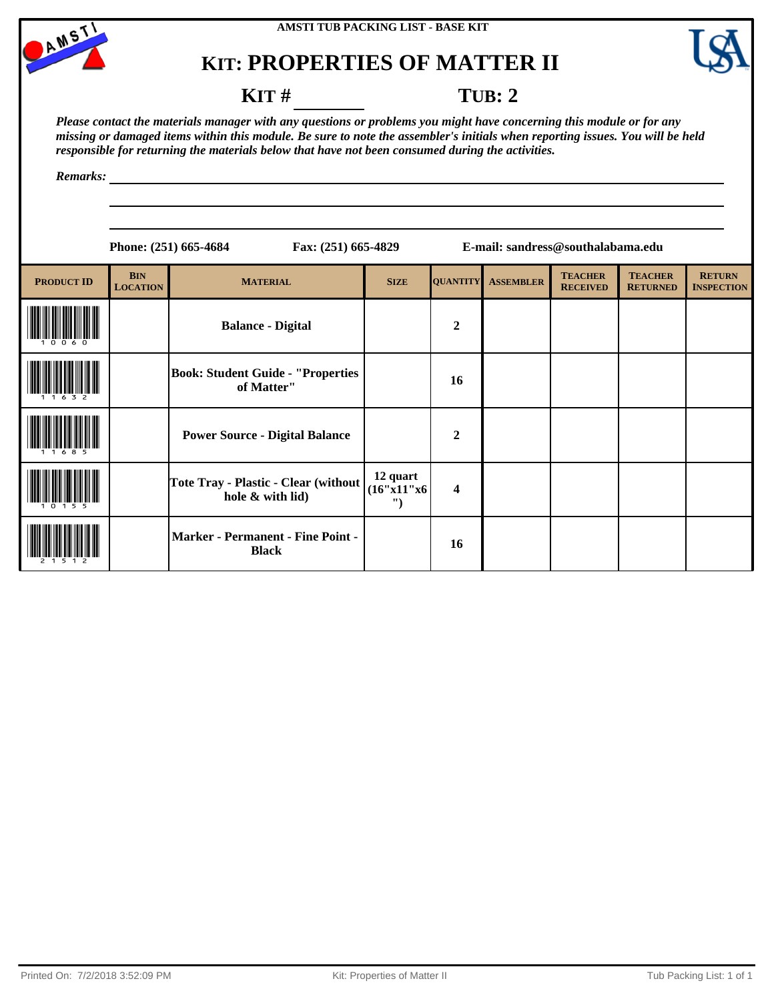



### **KIT** # **TUB: 2**

*Please contact the materials manager with any questions or problems you might have concerning this module or for any missing or damaged items within this module. Be sure to note the assembler's initials when reporting issues. You will be held responsible for returning the materials below that have not been consumed during the activities.*

*Remarks:*

| ،4 |  | Fax: (251) 665-48 |
|----|--|-------------------|
|    |  |                   |

**Phone: (251) 665-4684 Fax: (251) 665-4829 E-mail: sandress@southalabama.edu**

| <b>PRODUCT ID</b> | <b>BIN</b><br><b>LOCATION</b> | <b>MATERIAL</b>                                          | <b>SIZE</b>                  | <b>QUANTITY</b>         | <b>ASSEMBLER</b> | <b>TEACHER</b><br><b>RECEIVED</b> | <b>TEACHER</b><br><b>RETURNED</b> | <b>RETURN</b><br><b>INSPECTION</b> |
|-------------------|-------------------------------|----------------------------------------------------------|------------------------------|-------------------------|------------------|-----------------------------------|-----------------------------------|------------------------------------|
|                   |                               | <b>Balance - Digital</b>                                 |                              | $\overline{2}$          |                  |                                   |                                   |                                    |
|                   |                               | <b>Book: Student Guide - "Properties</b><br>of Matter"   |                              | 16                      |                  |                                   |                                   |                                    |
|                   |                               | <b>Power Source - Digital Balance</b>                    |                              | $\overline{2}$          |                  |                                   |                                   |                                    |
|                   |                               | Tote Tray - Plastic - Clear (without<br>hole & with lid) | 12 quart<br>(16"x11"x6)<br>" | $\overline{\mathbf{4}}$ |                  |                                   |                                   |                                    |
|                   |                               | <b>Marker - Permanent - Fine Point -</b><br><b>Black</b> |                              | 16                      |                  |                                   |                                   |                                    |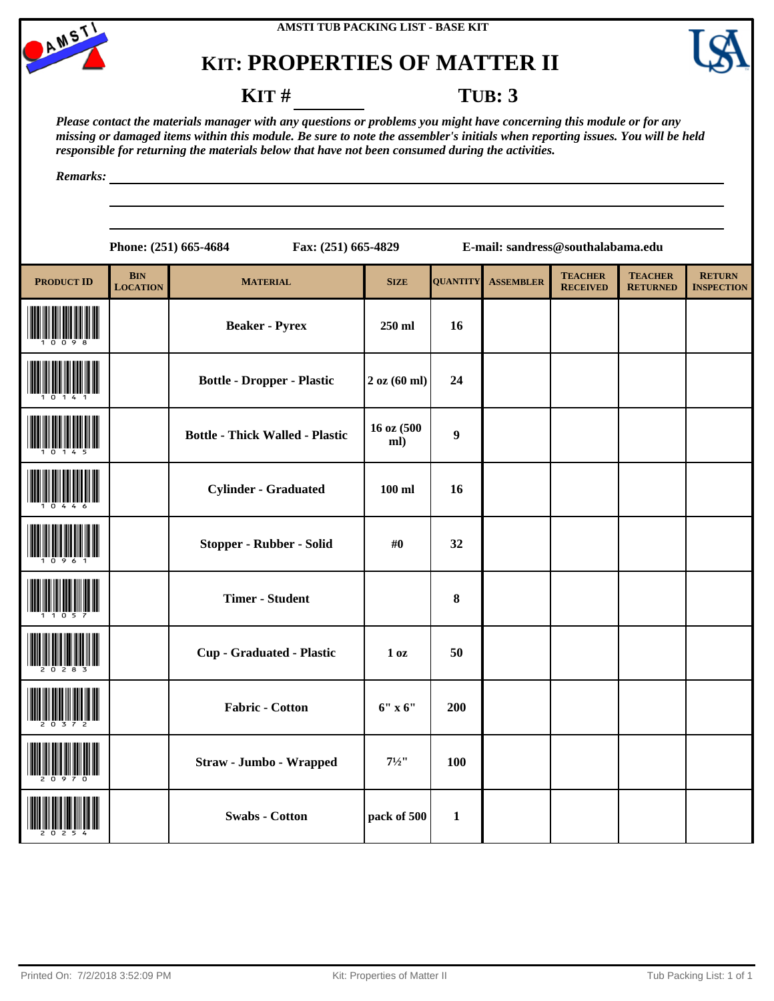





### **KIT** # **TUB: 3**

*Please contact the materials manager with any questions or problems you might have concerning this module or for any missing or damaged items within this module. Be sure to note the assembler's initials when reporting issues. You will be held responsible for returning the materials below that have not been consumed during the activities.*

*Remarks:*

|                   |                                   | Phone: (251) 665-4684                  | Fax: (251) 665-4829 |                  |                  | E-mail: sandress@southalabama.edu |                                   |                                    |  |  |
|-------------------|-----------------------------------|----------------------------------------|---------------------|------------------|------------------|-----------------------------------|-----------------------------------|------------------------------------|--|--|
| <b>PRODUCT ID</b> | $\mathbf{BIN}$<br><b>LOCATION</b> | <b>MATERIAL</b>                        | <b>SIZE</b>         | <b>QUANTITY</b>  | <b>ASSEMBLER</b> | <b>TEACHER</b><br><b>RECEIVED</b> | <b>TEACHER</b><br><b>RETURNED</b> | <b>RETURN</b><br><b>INSPECTION</b> |  |  |
|                   |                                   | <b>Beaker - Pyrex</b>                  | 250 ml              | 16               |                  |                                   |                                   |                                    |  |  |
|                   |                                   | <b>Bottle - Dropper - Plastic</b>      | $2$ oz $(60$ ml)    | 24               |                  |                                   |                                   |                                    |  |  |
|                   |                                   | <b>Bottle - Thick Walled - Plastic</b> | 16 oz (500<br>ml)   | $\boldsymbol{9}$ |                  |                                   |                                   |                                    |  |  |
|                   |                                   | <b>Cylinder - Graduated</b>            | $100$ ml            | 16               |                  |                                   |                                   |                                    |  |  |
|                   |                                   | Stopper - Rubber - Solid               | #0                  | 32               |                  |                                   |                                   |                                    |  |  |
|                   |                                   | <b>Timer - Student</b>                 |                     | 8                |                  |                                   |                                   |                                    |  |  |
|                   |                                   | <b>Cup - Graduated - Plastic</b>       | 1 <sub>0</sub> z    | 50               |                  |                                   |                                   |                                    |  |  |
|                   |                                   | <b>Fabric - Cotton</b>                 | $6''$ x $6''$       | 200              |                  |                                   |                                   |                                    |  |  |
|                   |                                   | Straw - Jumbo - Wrapped                | $7^{1/2}$           | 100              |                  |                                   |                                   |                                    |  |  |
|                   |                                   | <b>Swabs - Cotton</b>                  | pack of 500         | $\mathbf{1}$     |                  |                                   |                                   |                                    |  |  |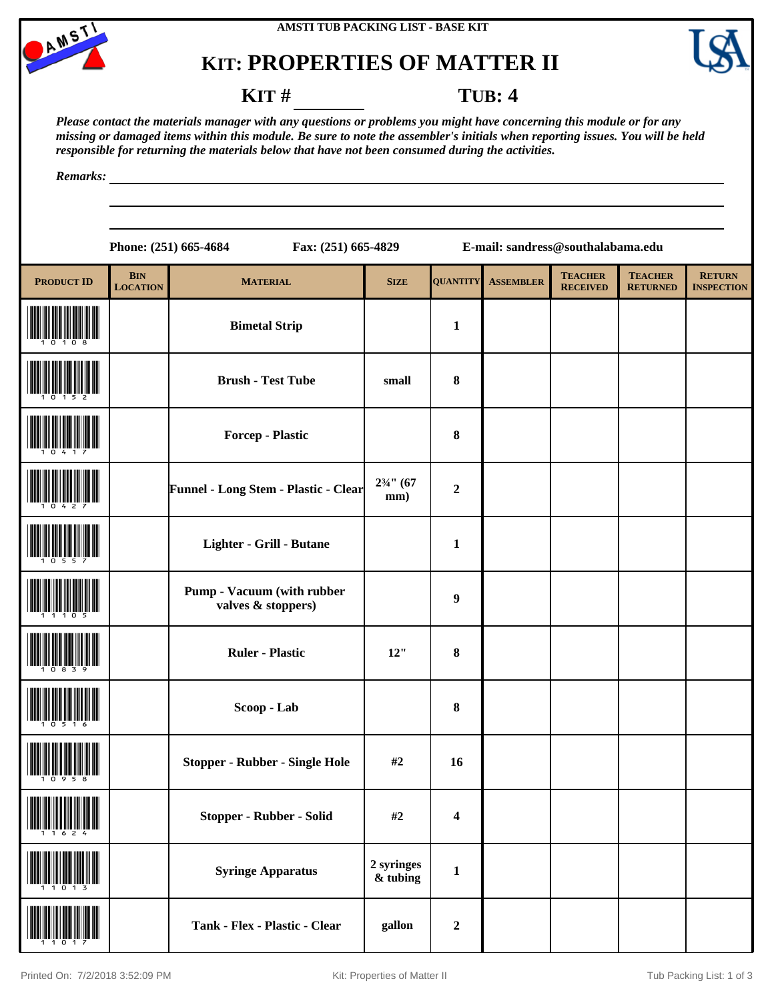



#### **KIT** # **TUB: 4**

*Please contact the materials manager with any questions or problems you might have concerning this module or for any missing or damaged items within this module. Be sure to note the assembler's initials when reporting issues. You will be held responsible for returning the materials below that have not been consumed during the activities.*

*Remarks:*

**Phone: (251) 665-4684 Fax: (251) 665-4829 E-mail: sandress@southalabama.edu**

| <b>PRODUCT ID</b>                             | <b>BIN</b><br><b>LOCATION</b> | <b>MATERIAL</b>                                         | <b>SIZE</b>                   | <b>QUANTITY</b>         | <b>ASSEMBLER</b> | <b>TEACHER</b><br><b>RECEIVED</b> | <b>TEACHER</b><br><b>RETURNED</b> | <b>RETURN</b><br><b>INSPECTION</b> |
|-----------------------------------------------|-------------------------------|---------------------------------------------------------|-------------------------------|-------------------------|------------------|-----------------------------------|-----------------------------------|------------------------------------|
|                                               |                               | <b>Bimetal Strip</b>                                    |                               | $\mathbf{1}$            |                  |                                   |                                   |                                    |
|                                               |                               | <b>Brush - Test Tube</b>                                | small                         | $\pmb{8}$               |                  |                                   |                                   |                                    |
|                                               |                               | <b>Forcep - Plastic</b>                                 |                               | $\bf{8}$                |                  |                                   |                                   |                                    |
|                                               |                               | Funnel - Long Stem - Plastic - Clear                    | $2\frac{3}{4}$ " (67<br>mm)   | $\boldsymbol{2}$        |                  |                                   |                                   |                                    |
|                                               |                               | Lighter - Grill - Butane                                |                               | $\mathbf{1}$            |                  |                                   |                                   |                                    |
|                                               |                               | <b>Pump - Vacuum (with rubber</b><br>valves & stoppers) |                               | $\boldsymbol{9}$        |                  |                                   |                                   |                                    |
|                                               |                               | <b>Ruler - Plastic</b>                                  | 12"                           | $\pmb{8}$               |                  |                                   |                                   |                                    |
|                                               |                               | Scoop - Lab                                             |                               | 8                       |                  |                                   |                                   |                                    |
|                                               |                               | <b>Stopper - Rubber - Single Hole</b>                   | #2                            | 16                      |                  |                                   |                                   |                                    |
| <b>THE PROPERTY AND THE PROPERTY OF STATE</b> |                               | Stopper - Rubber - Solid                                | #2                            | $\overline{\mathbf{4}}$ |                  |                                   |                                   |                                    |
|                                               |                               | <b>Syringe Apparatus</b>                                | 2 syringes<br>$\alpha$ tubing | $\mathbf{1}$            |                  |                                   |                                   |                                    |
|                                               |                               | Tank - Flex - Plastic - Clear                           | gallon                        | $\boldsymbol{2}$        |                  |                                   |                                   |                                    |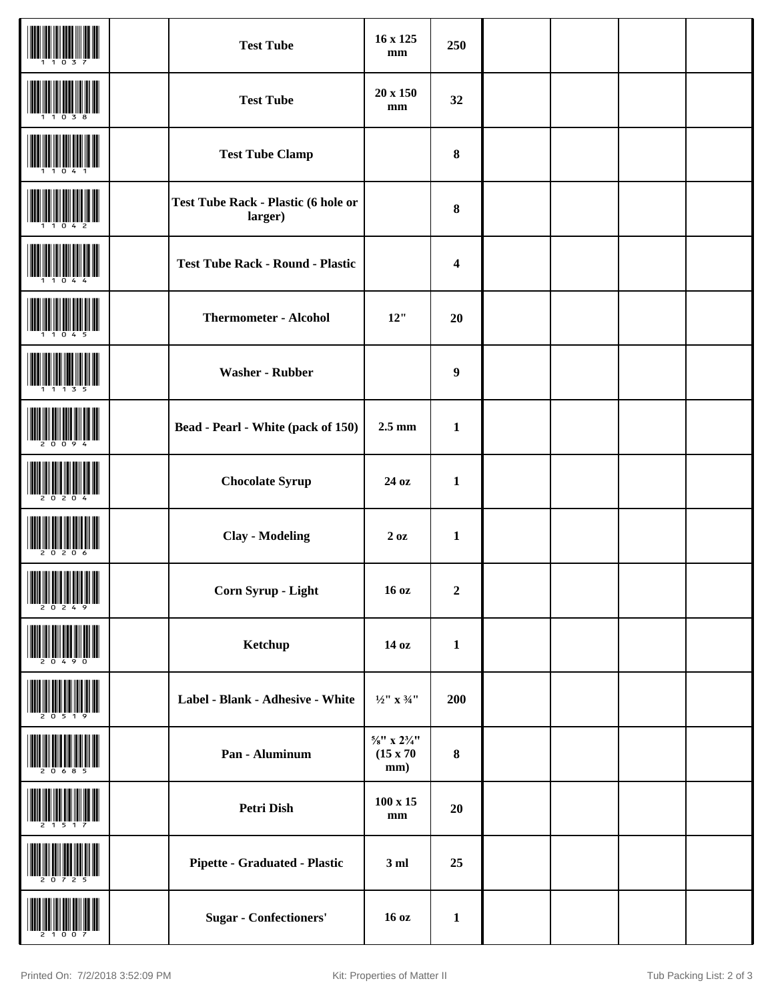|               | <b>Test Tube</b>                                      | 16 x 125<br>mm                                                | 250                     |  |  |
|---------------|-------------------------------------------------------|---------------------------------------------------------------|-------------------------|--|--|
|               | <b>Test Tube</b>                                      | 20 x 150<br>mm                                                | 32                      |  |  |
|               | <b>Test Tube Clamp</b>                                |                                                               | 8                       |  |  |
|               | <b>Test Tube Rack - Plastic (6 hole or</b><br>larger) |                                                               | 8                       |  |  |
|               | <b>Test Tube Rack - Round - Plastic</b>               |                                                               | $\overline{\mathbf{4}}$ |  |  |
|               | <b>Thermometer - Alcohol</b>                          | 12"                                                           | 20                      |  |  |
|               | <b>Washer - Rubber</b>                                |                                                               | $\boldsymbol{9}$        |  |  |
|               | <b>Bead - Pearl - White (pack of 150)</b>             | $2.5 \text{ mm}$                                              | $\mathbf{1}$            |  |  |
|               | <b>Chocolate Syrup</b>                                | 24 oz                                                         | $\mathbf{1}$            |  |  |
|               | <b>Clay - Modeling</b>                                | 20z                                                           | $\mathbf{1}$            |  |  |
| $\frac{1}{2}$ | Corn Syrup - Light                                    | 16 oz                                                         | $\boldsymbol{2}$        |  |  |
|               | Ketchup                                               | 14 oz                                                         | $\mathbf{1}$            |  |  |
|               | Label - Blank - Adhesive - White                      | $1\!\!/\!2^{\prime\prime}$ x $3\!\!/\!4^{\prime\prime}$       | 200                     |  |  |
|               | Pan - Aluminum                                        | $\frac{5}{8}$ " x $2\frac{3}{4}$ "<br>$(15 \times 70)$<br>mm) | $\bf 8$                 |  |  |
|               | Petri Dish                                            | $100 \times 15$<br>$\mathbf{mm}$                              | 20                      |  |  |
|               | <b>Pipette - Graduated - Plastic</b>                  | 3ml                                                           | 25                      |  |  |
|               | <b>Sugar</b> - Confectioners'                         | 16 oz                                                         | $\mathbf{1}$            |  |  |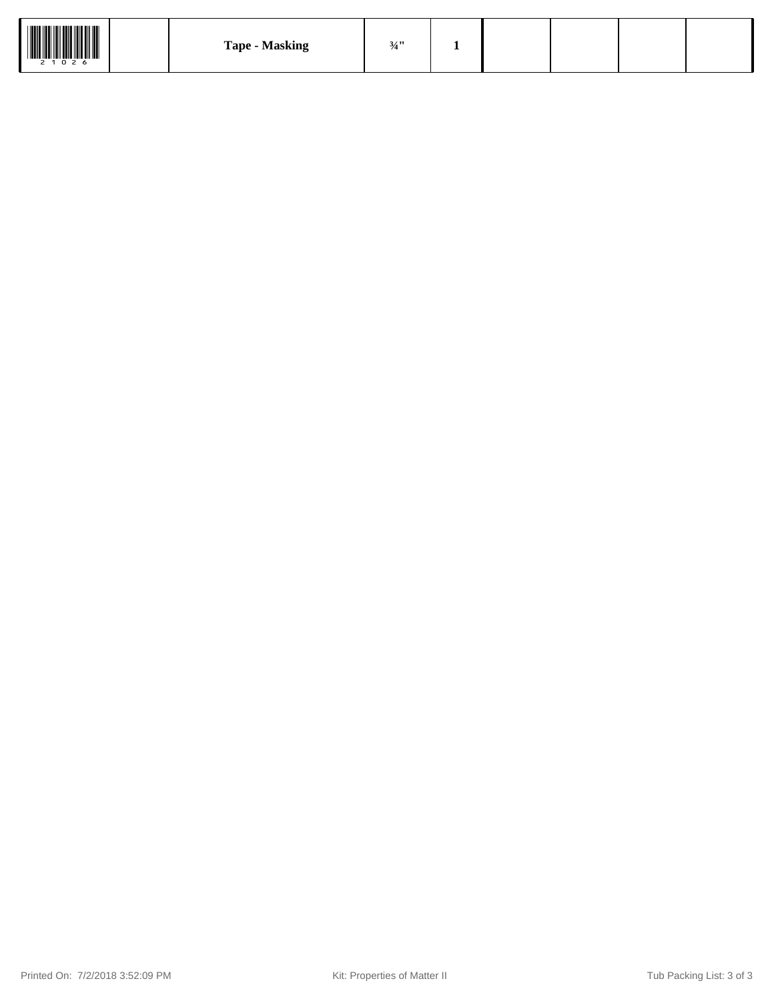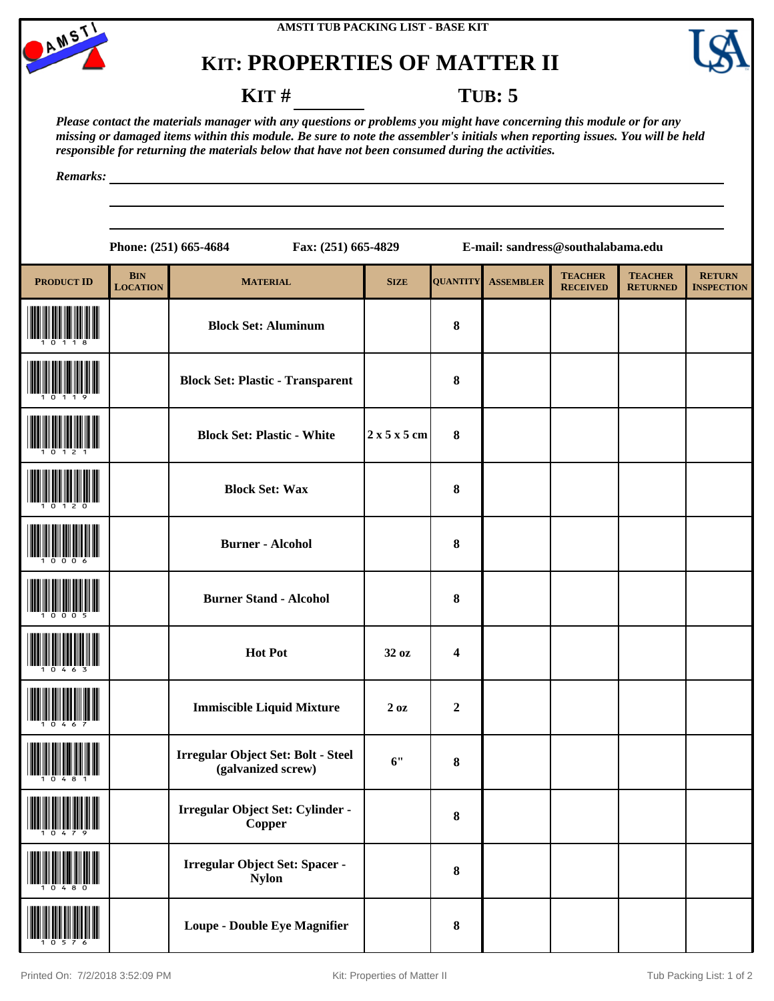



#### **KIT # TUB: 5**

*Please contact the materials manager with any questions or problems you might have concerning this module or for any missing or damaged items within this module. Be sure to note the assembler's initials when reporting issues. You will be held responsible for returning the materials below that have not been consumed during the activities.*

*Remarks:*

|                   |                                   | Phone: (251) 665-4684<br>Fax: (251) 665-4829             |             |                  | E-mail: sandress@southalabama.edu |                                   |                                   |                                    |  |  |
|-------------------|-----------------------------------|----------------------------------------------------------|-------------|------------------|-----------------------------------|-----------------------------------|-----------------------------------|------------------------------------|--|--|
| <b>PRODUCT ID</b> | $\mathbf{BIN}$<br><b>LOCATION</b> | <b>MATERIAL</b>                                          | <b>SIZE</b> | <b>QUANTITY</b>  | <b>ASSEMBLER</b>                  | <b>TEACHER</b><br><b>RECEIVED</b> | <b>TEACHER</b><br><b>RETURNED</b> | <b>RETURN</b><br><b>INSPECTION</b> |  |  |
|                   |                                   | <b>Block Set: Aluminum</b>                               |             | 8                |                                   |                                   |                                   |                                    |  |  |
|                   |                                   | <b>Block Set: Plastic - Transparent</b>                  |             | 8                |                                   |                                   |                                   |                                    |  |  |
|                   |                                   | <b>Block Set: Plastic - White</b>                        | 2x5x5cm     | 8                |                                   |                                   |                                   |                                    |  |  |
|                   |                                   | <b>Block Set: Wax</b>                                    |             | 8                |                                   |                                   |                                   |                                    |  |  |
|                   |                                   | <b>Burner - Alcohol</b>                                  |             | 8                |                                   |                                   |                                   |                                    |  |  |
|                   |                                   | <b>Burner Stand - Alcohol</b>                            |             | 8                |                                   |                                   |                                   |                                    |  |  |
|                   |                                   | <b>Hot Pot</b>                                           | 32 oz       | 4                |                                   |                                   |                                   |                                    |  |  |
|                   |                                   | <b>Immiscible Liquid Mixture</b>                         | 20z         | $\boldsymbol{2}$ |                                   |                                   |                                   |                                    |  |  |
|                   |                                   | Irregular Object Set: Bolt - Steel<br>(galvanized screw) | 6"          | 8                |                                   |                                   |                                   |                                    |  |  |
|                   |                                   | Irregular Object Set: Cylinder -<br>Copper               |             | 8                |                                   |                                   |                                   |                                    |  |  |
|                   |                                   | <b>Irregular Object Set: Spacer -</b><br><b>Nylon</b>    |             | 8                |                                   |                                   |                                   |                                    |  |  |
|                   |                                   | <b>Loupe - Double Eye Magnifier</b>                      |             | 8                |                                   |                                   |                                   |                                    |  |  |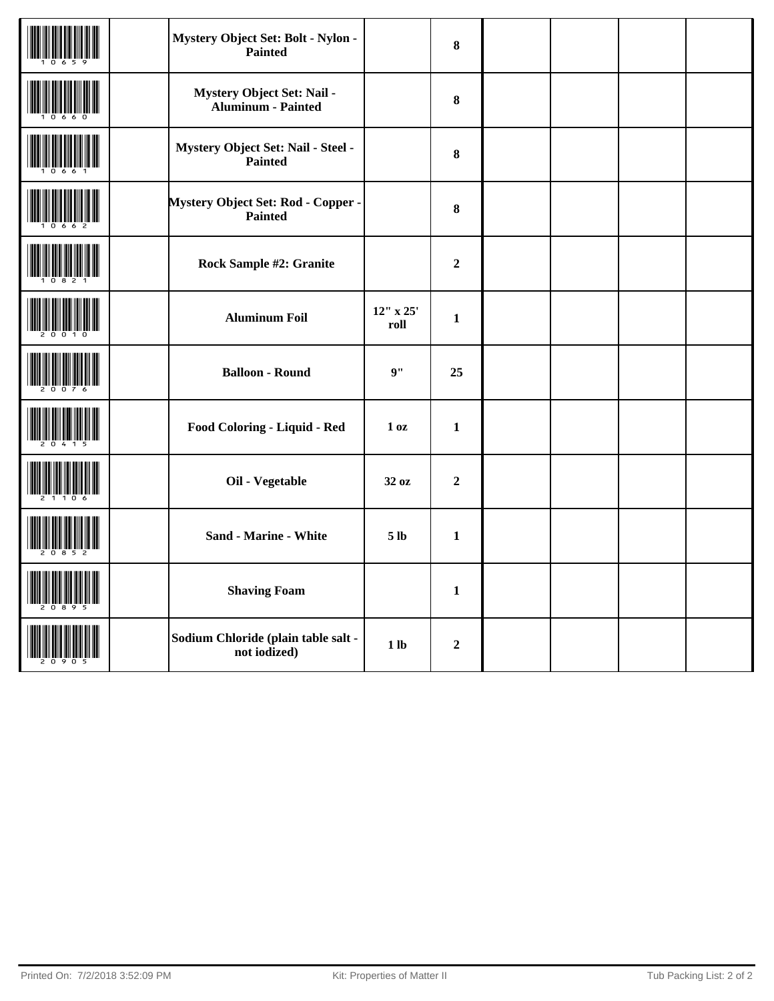| Mystery Object Set: Bolt - Nylon -<br><b>Painted</b> |                        | 8                |  |  |
|------------------------------------------------------|------------------------|------------------|--|--|
| Mystery Object Set: Nail -<br>Aluminum - Painted     |                        | 8                |  |  |
| Mystery Object Set: Nail - Steel -<br>Painted        |                        | 8                |  |  |
| Mystery Object Set: Rod - Copper -<br><b>Painted</b> |                        | 8                |  |  |
| <b>Rock Sample #2: Granite</b>                       |                        | $\boldsymbol{2}$ |  |  |
| <b>Aluminum Foil</b>                                 | $12''$ x $25'$<br>roll | $\mathbf{1}$     |  |  |
| <b>Balloon - Round</b>                               | 9"                     | 25               |  |  |
| Food Coloring - Liquid - Red                         | 1 <sub>0</sub> z       | $\mathbf{1}$     |  |  |
| Oil - Vegetable                                      | 32 oz                  | $\overline{2}$   |  |  |
| <b>Sand - Marine - White</b>                         | 5 <sub>lb</sub>        | $\mathbf{1}$     |  |  |
| <b>Shaving Foam</b>                                  |                        | $\mathbf{1}$     |  |  |
| Sodium Chloride (plain table salt -<br>not iodized)  | 1 <sub>lb</sub>        | $\boldsymbol{2}$ |  |  |